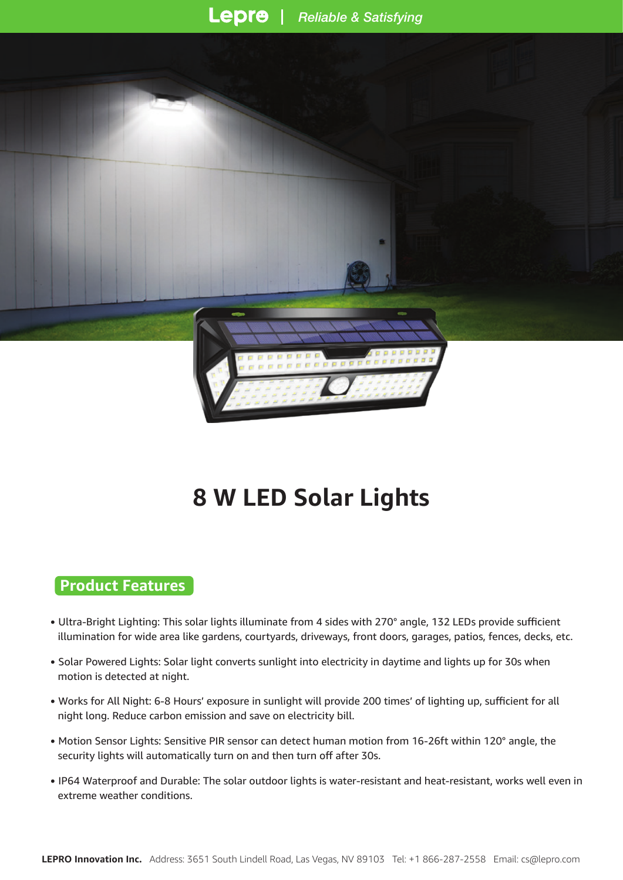

# **8 W LED Solar Lights**

#### **Product Features**

- Ultra-Bright Lighting: This solar lights illuminate from 4 sides with 270° angle, 132 LEDs provide sufficient illumination for wide area like gardens, courtyards, driveways, front doors, garages, patios, fences, decks, etc.
- Solar Powered Lights: Solar light converts sunlight into electricity in daytime and lights up for 30s when motion is detected at night.
- Works for All Night: 6-8 Hours' exposure in sunlight will provide 200 times' of lighting up, sufficient for all night long. Reduce carbon emission and save on electricity bill.
- Motion Sensor Lights: Sensitive PIR sensor can detect human motion from 16-26ft within 120° angle, the security lights will automatically turn on and then turn off after 30s.
- IP64 Waterproof and Durable: The solar outdoor lights is water-resistant and heat-resistant, works well even in extreme weather conditions.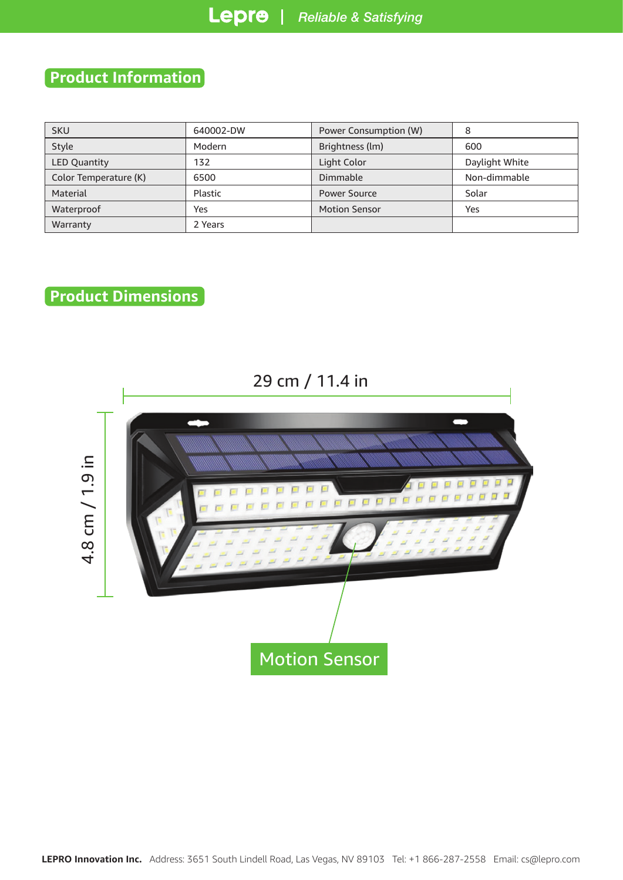## **Product Information**

| <b>SKU</b>            | 640002-DW | Power Consumption (W) | 8              |  |
|-----------------------|-----------|-----------------------|----------------|--|
| Style                 | Modern    | Brightness (lm)       | 600            |  |
| <b>LED Quantity</b>   | 132       | Light Color           | Daylight White |  |
| Color Temperature (K) | 6500      | Dimmable              | Non-dimmable   |  |
| Material              | Plastic   | <b>Power Source</b>   | Solar          |  |
| Waterproof            | Yes       | <b>Motion Sensor</b>  | Yes            |  |
| Warranty              | 2 Years   |                       |                |  |

### **Product Dimensions**